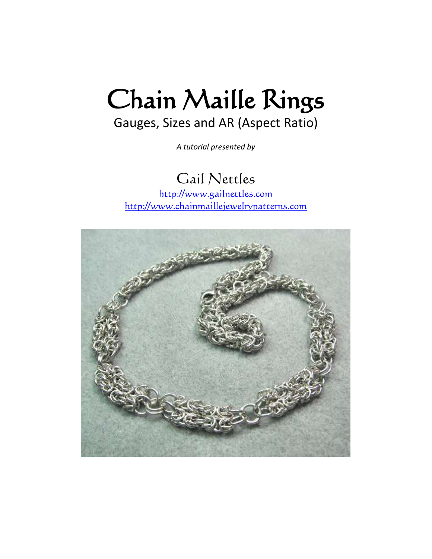# Chain Maille Rings

## Gauges, Sizes and AR (Aspect Ratio)

*A tutorial presented by*

## Gail Nettles

[http://www.gailnettles.com](http://www.gailnettles.com/) [http://www.chainmaillejewelrypatterns.com](http://www.chainmaillejewelrypatterns.com/)

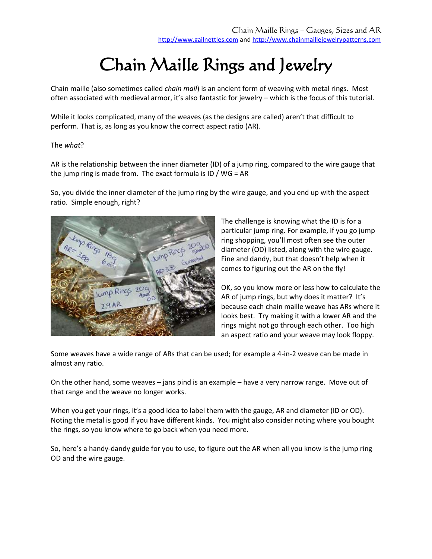# Chain Maille Rings and Jewelry

Chain maille (also sometimes called *chain mail*) is an ancient form of weaving with metal rings. Most often associated with medieval armor, it's also fantastic for jewelry – which is the focus of this tutorial.

While it looks complicated, many of the weaves (as the designs are called) aren't that difficult to perform. That is, as long as you know the correct aspect ratio (AR).

#### The *what*?

AR is the relationship between the inner diameter (ID) of a jump ring, compared to the wire gauge that the jump ring is made from. The exact formula is ID / WG = AR

So, you divide the inner diameter of the jump ring by the wire gauge, and you end up with the aspect ratio. Simple enough, right?



The challenge is knowing what the ID is for a particular jump ring. For example, if you go jump ring shopping, you'll most often see the outer diameter (OD) listed, along with the wire gauge. Fine and dandy, but that doesn't help when it comes to figuring out the AR on the fly!

OK, so you know more or less how to calculate the AR of jump rings, but why does it matter? It's because each chain maille weave has ARs where it looks best. Try making it with a lower AR and the rings might not go through each other. Too high an aspect ratio and your weave may look floppy.

Some weaves have a wide range of ARs that can be used; for example a 4-in-2 weave can be made in almost any ratio.

On the other hand, some weaves – jans pind is an example – have a very narrow range. Move out of that range and the weave no longer works.

When you get your rings, it's a good idea to label them with the gauge, AR and diameter (ID or OD). Noting the metal is good if you have different kinds. You might also consider noting where you bought the rings, so you know where to go back when you need more.

So, here's a handy-dandy guide for you to use, to figure out the AR when all you know is the jump ring OD and the wire gauge.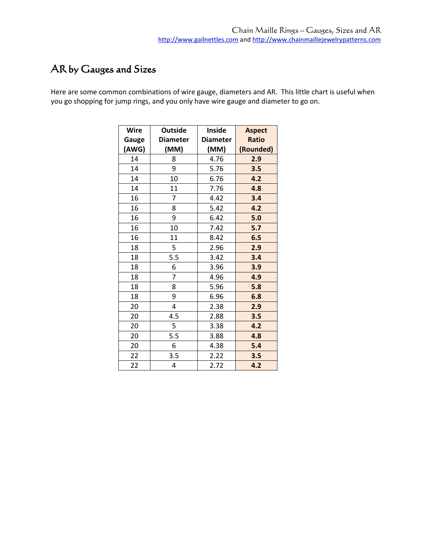### AR by Gauges and Sizes

Here are some common combinations of wire gauge, diameters and AR. This little chart is useful when you go shopping for jump rings, and you only have wire gauge and diameter to go on.

| <b>Wire</b> | <b>Outside</b>  | Inside          | <b>Aspect</b> |
|-------------|-----------------|-----------------|---------------|
| Gauge       | <b>Diameter</b> | <b>Diameter</b> | <b>Ratio</b>  |
| (AWG)       | (MM)            | (MM)            | (Rounded)     |
| 14          | 8               | 4.76            | 2.9           |
| 14          | 9               | 5.76            | 3.5           |
| 14          | 10              | 6.76            | 4.2           |
| 14          | 11              | 7.76            | 4.8           |
| 16          | 7               | 4.42            | 3.4           |
| 16          | 8               | 5.42            | 4.2           |
| 16          | 9               | 6.42            | 5.0           |
| 16          | 10              | 7.42            | 5.7           |
| 16          | 11              | 8.42            | 6.5           |
| 18          | 5               | 2.96            | 2.9           |
| 18          | 5.5             | 3.42            | 3.4           |
| 18          | 6               | 3.96            | 3.9           |
| 18          | 7               | 4.96            | 4.9           |
| 18          | 8               | 5.96            | 5.8           |
| 18          | 9               | 6.96            | 6.8           |
| 20          | 4               | 2.38            | 2.9           |
| 20          | 4.5             | 2.88            | 3.5           |
| 20          | 5               | 3.38            | 4.2           |
| 20          | 5.5             | 3.88            | 4.8           |
| 20          | 6               | 4.38            | 5.4           |
| 22          | 3.5             | 2.22            | 3.5           |
| 22          | 4               | 2.72            | 4.2           |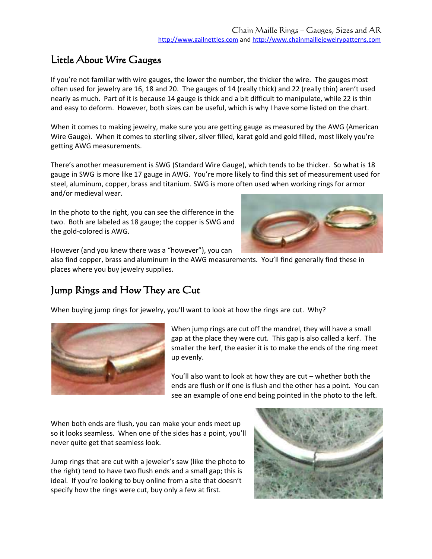#### Little About Wire Gauges

If you're not familiar with wire gauges, the lower the number, the thicker the wire. The gauges most often used for jewelry are 16, 18 and 20. The gauges of 14 (really thick) and 22 (really thin) aren't used nearly as much. Part of it is because 14 gauge is thick and a bit difficult to manipulate, while 22 is thin and easy to deform. However, both sizes can be useful, which is why I have some listed on the chart.

When it comes to making jewelry, make sure you are getting gauge as measured by the AWG (American Wire Gauge). When it comes to sterling silver, silver filled, karat gold and gold filled, most likely you're getting AWG measurements.

There's another measurement is SWG (Standard Wire Gauge), which tends to be thicker. So what is 18 gauge in SWG is more like 17 gauge in AWG. You're more likely to find this set of measurement used for steel, aluminum, copper, brass and titanium. SWG is more often used when working rings for armor and/or medieval wear.

In the photo to the right, you can see the difference in the two. Both are labeled as 18 gauge; the copper is SWG and the gold-colored is AWG.



However (and you knew there was a "however"), you can

also find copper, brass and aluminum in the AWG measurements. You'll find generally find these in places where you buy jewelry supplies.

#### Jump Rings and How They are Cut

When buying jump rings for jewelry, you'll want to look at how the rings are cut. Why?



When jump rings are cut off the mandrel, they will have a small gap at the place they were cut. This gap is also called a kerf. The smaller the kerf, the easier it is to make the ends of the ring meet up evenly.

You'll also want to look at how they are cut – whether both the ends are flush or if one is flush and the other has a point. You can see an example of one end being pointed in the photo to the left.

When both ends are flush, you can make your ends meet up so it looks seamless. When one of the sides has a point, you'll never quite get that seamless look.

Jump rings that are cut with a jeweler's saw (like the photo to the right) tend to have two flush ends and a small gap; this is ideal. If you're looking to buy online from a site that doesn't specify how the rings were cut, buy only a few at first.

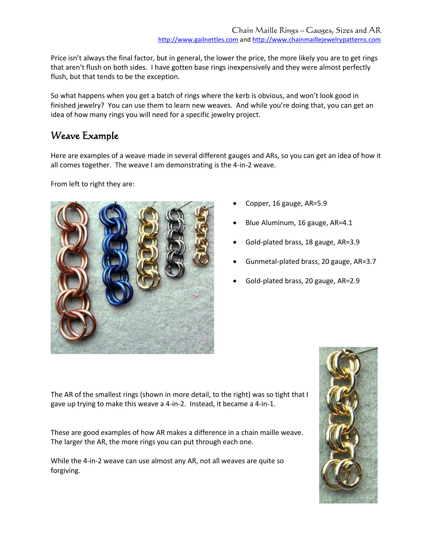Price isn't always the final factor, but in general, the lower the price, the more likely you are to get rings that aren't flush on both sides. I have gotten base rings inexpensively and they were almost perfectly flush, but that tends to be the exception.

So what happens when you get a batch of rings where the kerb is obvious, and won't look good in finished jewelry? You can use them to learn new weaves. And while you're doing that, you can get an idea of how many rings you will need for a specific jewelry project.

#### Weave Example

Here are examples of a weave made in several different gauges and ARs, so you can get an idea of how it all comes together. The weave I am demonstrating is the 4-in-2 weave.

From left to right they are:



- Copper, 16 gauge, AR=5.9
- Blue Aluminum, 16 gauge, AR=4.1
- Gold-plated brass, 18 gauge, AR=3.9
- Gunmetal-plated brass, 20 gauge, AR=3.7
- Gold-plated brass, 20 gauge, AR=2.9

The AR of the smallest rings (shown in more detail, to the right) was so tight that I gave up trying to make this weave a 4-in-2. Instead, it became a 4-in-1.

These are good examples of how AR makes a difference in a chain maille weave. The larger the AR, the more rings you can put through each one.

While the 4-in-2 weave can use almost any AR, not all weaves are quite so forgiving.

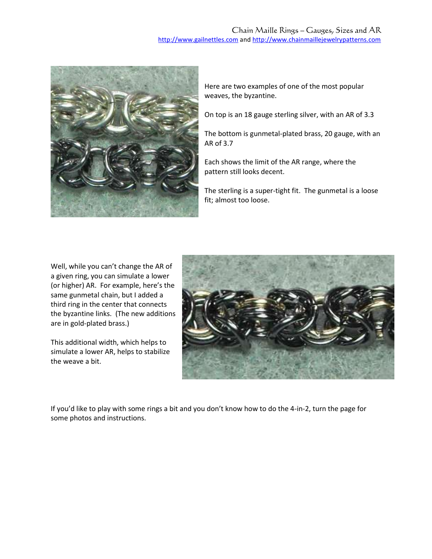#### Chain Maille Rings – Gauges, Sizes and AR [http://www.gailnettles.com](http://www.gailnettles.com/) and [http://www.chainmaillejewelrypatterns.com](http://www.chainmaillejewelrypatterns.com/)



Here are two examples of one of the most popular weaves, the byzantine.

On top is an 18 gauge sterling silver, with an AR of 3.3

The bottom is gunmetal-plated brass, 20 gauge, with an AR of 3.7

Each shows the limit of the AR range, where the pattern still looks decent.

The sterling is a super-tight fit. The gunmetal is a loose fit; almost too loose.

Well, while you can't change the AR of a given ring, you can simulate a lower (or higher) AR. For example, here's the same gunmetal chain, but I added a third ring in the center that connects the byzantine links. (The new additions are in gold-plated brass.)

This additional width, which helps to simulate a lower AR, helps to stabilize the weave a bit.



If you'd like to play with some rings a bit and you don't know how to do the 4-in-2, turn the page for some photos and instructions.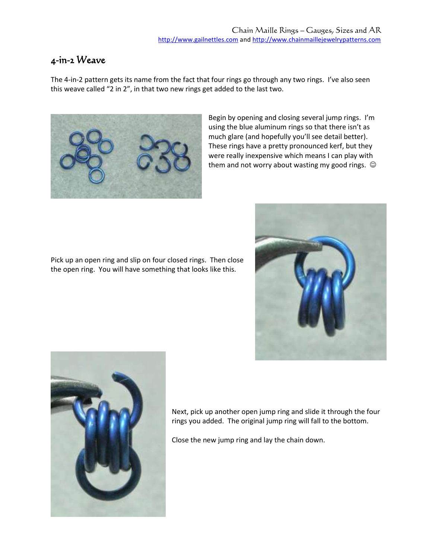#### 4-in-2 Weave

The 4-in-2 pattern gets its name from the fact that four rings go through any two rings. I've also seen this weave called "2 in 2", in that two new rings get added to the last two.



Begin by opening and closing several jump rings. I'm using the blue aluminum rings so that there isn't as much glare (and hopefully you'll see detail better). These rings have a pretty pronounced kerf, but they were really inexpensive which means I can play with them and not worry about wasting my good rings.  $\odot$ 

Pick up an open ring and slip on four closed rings. Then close the open ring. You will have something that looks like this.





Next, pick up another open jump ring and slide it through the four rings you added. The original jump ring will fall to the bottom.

Close the new jump ring and lay the chain down.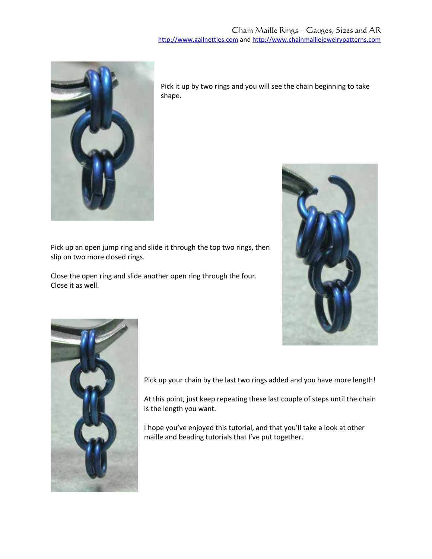

Pick it up by two rings and you will see the chain beginning to take shape.



Close the open ring and slide another open ring through the four. Close it as well.





Pick up your chain by the last two rings added and you have more length!

At this point, just keep repeating these last couple of steps until the chain is the length you want.

I hope you've enjoyed this tutorial, and that you'll take a look at other maille and beading tutorials that I've put together.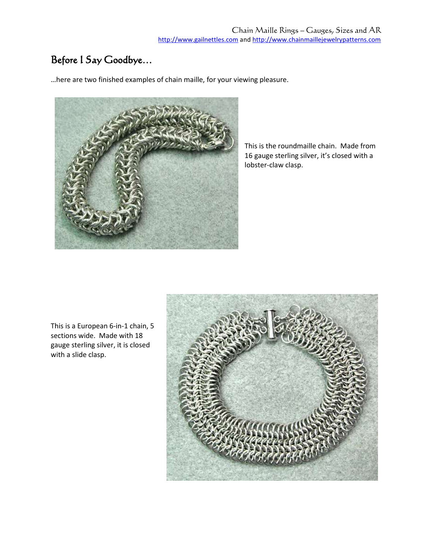#### Before I Say Goodbye…

…here are two finished examples of chain maille, for your viewing pleasure.



This is the roundmaille chain. Made from 16 gauge sterling silver, it's closed with a lobster-claw clasp.

This is a European 6-in-1 chain, 5 sections wide. Made with 18 gauge sterling silver, it is closed with a slide clasp.